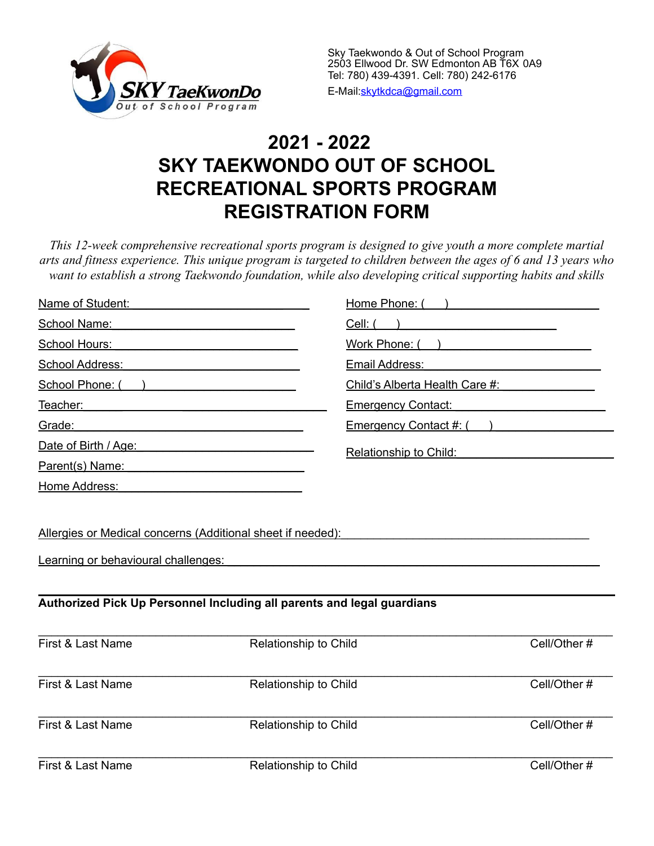

# **2021 - 2022 SKY TAEKWONDO OUT OF SCHOOL RECREATIONAL SPORTS PROGRAM REGISTRATION FORM**

*This 12-week comprehensive recreational sports program is designed to give youth a more complete martial arts and fitness experience. This unique program is targeted to children between the ages of 6 and 13 years who want to establish a strong Taekwondo foundation, while also developing critical supporting habits and skills*

| Name of Student:                                                                                                                                                                                                                     | Home Phone: (                                                                                                        |                                                                                                  |  |
|--------------------------------------------------------------------------------------------------------------------------------------------------------------------------------------------------------------------------------------|----------------------------------------------------------------------------------------------------------------------|--------------------------------------------------------------------------------------------------|--|
| School Name:                                                                                                                                                                                                                         | Cell: (                                                                                                              |                                                                                                  |  |
| School Hours:                                                                                                                                                                                                                        | <u> 1989 - Johann Barbara, martxa alemaniar a</u>                                                                    | Work Phone: ( )<br>Email Address:<br>Child's Alberta Health Care #:<br><b>Emergency Contact:</b> |  |
| School Address:                                                                                                                                                                                                                      | <u> 1980 - Johann Barbara, martxa alemaniar a</u>                                                                    |                                                                                                  |  |
| School Phone: ()                                                                                                                                                                                                                     | <u> 1989 - Johann Barn, mars ann an t-Amhain Aonaich an t-Aonaich an t-Aonaich ann an t-Aonaich ann an t-Aonaich</u> |                                                                                                  |  |
| Teacher: <u>contract and contract and contract and contract and contract and contract and contract and contract and contract and contract and contract and contract and contract and contract and contract and contract and cont</u> |                                                                                                                      |                                                                                                  |  |
| Grade:                                                                                                                                                                                                                               |                                                                                                                      | Emergency Contact #: ()                                                                          |  |
| Date of Birth / Age: <b>Date of Birth / Age:</b>                                                                                                                                                                                     | Relationship to Child:                                                                                               |                                                                                                  |  |
| Parent(s) Name:                                                                                                                                                                                                                      | <u> 1989 - Johann Barbara, martxa alemaniar a</u>                                                                    |                                                                                                  |  |
| Home Address:                                                                                                                                                                                                                        |                                                                                                                      |                                                                                                  |  |
|                                                                                                                                                                                                                                      | Allergies or Medical concerns (Additional sheet if needed):                                                          |                                                                                                  |  |
| Learning or behavioural challenges:                                                                                                                                                                                                  |                                                                                                                      |                                                                                                  |  |
|                                                                                                                                                                                                                                      | Authorized Pick Up Personnel Including all parents and legal guardians                                               |                                                                                                  |  |
| First & Last Name                                                                                                                                                                                                                    | Relationship to Child                                                                                                | Cell/Other#                                                                                      |  |
| First & Last Name                                                                                                                                                                                                                    | Relationship to Child                                                                                                | Cell/Other#                                                                                      |  |
| First & Last Name                                                                                                                                                                                                                    | Relationship to Child                                                                                                | Cell/Other#                                                                                      |  |
| First & Last Name                                                                                                                                                                                                                    | Relationship to Child                                                                                                | Cell/Other#                                                                                      |  |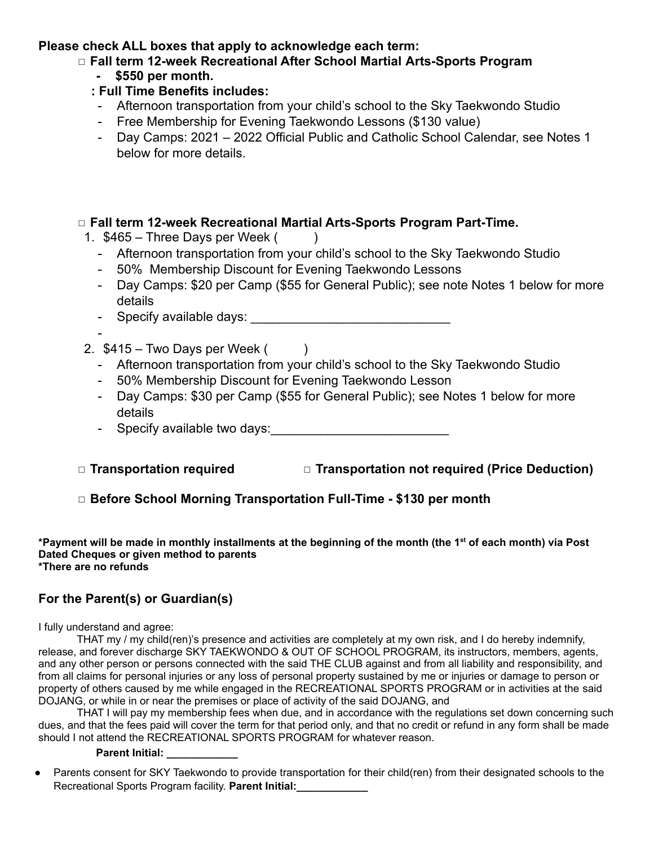#### **Please check ALL boxes that apply to acknowledge each term:**

## ◻ **Fall term 12-week Recreational After School Martial Arts-Sports Program**

#### **- \$550 per month.**

## **: Full Time Benefits includes:**

- Afternoon transportation from your child's school to the Sky Taekwondo Studio
- Free Membership for Evening Taekwondo Lessons (\$130 value)
- Day Camps: 2021 2022 Official Public and Catholic School Calendar, see Notes 1 below for more details.

#### ◻ **Fall term 12-week Recreational Martial Arts-Sports Program Part-Time.**

- 1.  $$465 Three Days per Week ($ 
	- Afternoon transportation from your child's school to the Sky Taekwondo Studio
	- 50% Membership Discount for Evening Taekwondo Lessons
	- Day Camps: \$20 per Camp (\$55 for General Public); see note Notes 1 below for more details
	- Specify available days: \_\_\_\_\_\_\_\_\_\_\_\_\_\_\_\_\_\_\_\_\_\_\_\_\_\_\_\_
- 2.  $$415 Two Days per Week ( )$ 
	- Afternoon transportation from your child's school to the Sky Taekwondo Studio
	- 50% Membership Discount for Evening Taekwondo Lesson
	- Day Camps: \$30 per Camp (\$55 for General Public); see Notes 1 below for more details
	- Specify available two days:
- ◻ **Transportation required** ◻ **Transportation not required (Price Deduction)**

## ◻ **Before School Morning Transportation Full-Time - \$130 per month**

\*Payment will be made in monthly installments at the beginning of the month (the 1<sup>st</sup> of each month) via Post **Dated Cheques or given method to parents \*There are no refunds**

## **For the Parent(s) or Guardian(s)**

#### I fully understand and agree:

-

THAT my / my child(ren)'s presence and activities are completely at my own risk, and I do hereby indemnify, release, and forever discharge SKY TAEKWONDO & OUT OF SCHOOL PROGRAM, its instructors, members, agents, and any other person or persons connected with the said THE CLUB against and from all liability and responsibility, and from all claims for personal injuries or any loss of personal property sustained by me or injuries or damage to person or property of others caused by me while engaged in the RECREATIONAL SPORTS PROGRAM or in activities at the said DOJANG, or while in or near the premises or place of activity of the said DOJANG, and

THAT I will pay my membership fees when due, and in accordance with the regulations set down concerning such dues, and that the fees paid will cover the term for that period only, and that no credit or refund in any form shall be made should I not attend the RECREATIONAL SPORTS PROGRAM for whatever reason.

#### **Parent Initial: \_\_\_\_\_\_\_\_\_\_\_\_**

Parents consent for SKY Taekwondo to provide transportation for their child(ren) from their designated schools to the Recreational Sports Program facility. **Parent Initial:\_\_\_\_\_\_\_\_\_\_\_\_**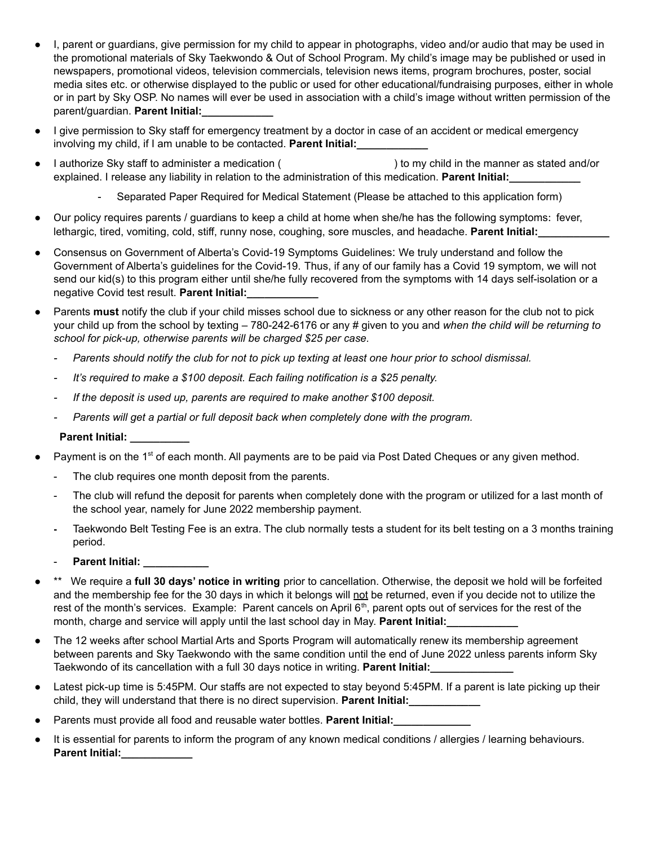- I, parent or guardians, give permission for my child to appear in photographs, video and/or audio that may be used in the promotional materials of Sky Taekwondo & Out of School Program. My child's image may be published or used in newspapers, promotional videos, television commercials, television news items, program brochures, poster, social media sites etc. or otherwise displayed to the public or used for other educational/fundraising purposes, either in whole or in part by Sky OSP. No names will ever be used in association with a child's image without written permission of the parent/guardian. **Parent Initial:\_\_\_\_\_\_\_\_\_\_\_\_**
- I give permission to Sky staff for emergency treatment by a doctor in case of an accident or medical emergency involving my child, if I am unable to be contacted. **Parent Initial:**
- I authorize Sky staff to administer a medication ( ) to my child in the manner as stated and/or explained. I release any liability in relation to the administration of this medication. **Parent Initial:\_\_\_\_\_\_\_\_\_\_\_\_**
	- Separated Paper Required for Medical Statement (Please be attached to this application form)
- Our policy requires parents / guardians to keep a child at home when she/he has the following symptoms: fever, lethargic, tired, vomiting, cold, stiff, runny nose, coughing, sore muscles, and headache. **Parent Initial:\_\_\_\_\_\_\_\_\_\_\_\_**
- Consensus on Government of Alberta's Covid-19 Symptoms Guidelines: We truly understand and follow the Government of Alberta's guidelines for the Covid-19. Thus, if any of our family has a Covid 19 symptom, we will not send our kid(s) to this program either until she/he fully recovered from the symptoms with 14 days self-isolation or a negative Covid test result. **Parent Initial:\_\_\_\_\_\_\_\_\_\_\_\_**
- Parents **must** notify the club if your child misses school due to sickness or any other reason for the club not to pick your child up from the school by texting – 780-242-6176 or any # given to you and *when the child will be returning to school for pick-up, otherwise parents will be charged \$25 per case.*
	- Parents should notify the club for not to pick up texting at least one hour prior to school dismissal.
	- *- It's required to make a \$100 deposit. Each failing notification is a \$25 penalty.*
	- *- If the deposit is used up, parents are required to make another \$100 deposit.*
	- *- Parents will get a partial or full deposit back when completely done with the program.*

#### **Parent Initial: \_\_\_\_\_\_\_\_\_\_**

- Payment is on the 1<sup>st</sup> of each month. All payments are to be paid via Post Dated Cheques or any given method.
	- The club requires one month deposit from the parents.
	- The club will refund the deposit for parents when completely done with the program or utilized for a last month of the school year, namely for June 2022 membership payment.
	- **-** Taekwondo Belt Testing Fee is an extra. The club normally tests a student for its belt testing on a 3 months training period.
	- **Parent Initial: \_\_\_\_\_\_\_\_\_\_\_**
- \*\* We require a **full 30 days' notice in writing** prior to cancellation. Otherwise, the deposit we hold will be forfeited and the membership fee for the 30 days in which it belongs will not be returned, even if you decide not to utilize the rest of the month's services. Example: Parent cancels on April 6<sup>th</sup>, parent opts out of services for the rest of the month, charge and service will apply until the last school day in May. **Parent Initial:**
- The 12 weeks after school Martial Arts and Sports Program will automatically renew its membership agreement between parents and Sky Taekwondo with the same condition until the end of June 2022 unless parents inform Sky Taekwondo of its cancellation with a full 30 days notice in writing. **Parent Initial:\_\_\_\_\_\_\_\_\_\_\_\_\_\_**
- Latest pick-up time is 5:45PM. Our staffs are not expected to stay beyond 5:45PM. If a parent is late picking up their child, they will understand that there is no direct supervision. **Parent Initial:\_\_\_\_\_\_\_\_\_\_\_\_**
- Parents must provide all food and reusable water bottles. **Parent Initial:**
- It is essential for parents to inform the program of any known medical conditions / allergies / learning behaviours. **Parent Initial:**